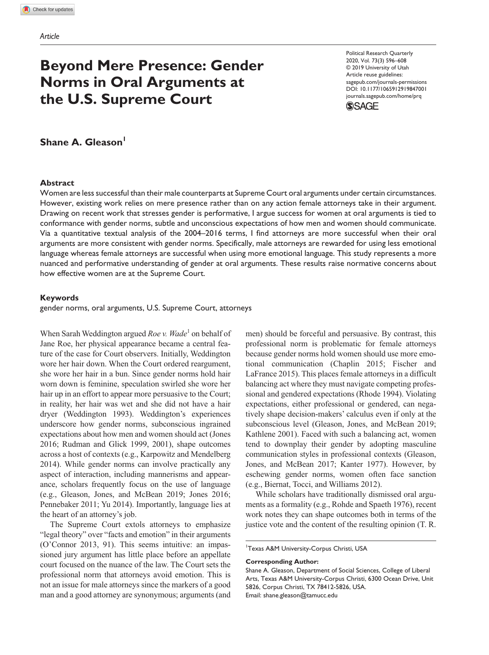# **Beyond Mere Presence: Gender Norms in Oral Arguments at the U.S. Supreme Court**

https://doi.org/10.1177/1065912919847001 DOI: 10.1177/1065912919847001 Political Research Quarterly 2020, Vol. 73(3) 596–608 © 2019 University of Utah Article reuse guidelines: [sagepub.com/journals-permissions](https://us.sagepub.com/en-us/journals-permissions) [journals.sagepub.com/home/prq](https://journals.sagepub.com/home/prq)



# **Shane A. Gleason**

### **Abstract**

Women are less successful than their male counterparts at Supreme Court oral arguments under certain circumstances. However, existing work relies on mere presence rather than on any action female attorneys take in their argument. Drawing on recent work that stresses gender is performative, I argue success for women at oral arguments is tied to conformance with gender norms, subtle and unconscious expectations of how men and women should communicate. Via a quantitative textual analysis of the 2004–2016 terms, I find attorneys are more successful when their oral arguments are more consistent with gender norms. Specifically, male attorneys are rewarded for using less emotional language whereas female attorneys are successful when using more emotional language. This study represents a more nuanced and performative understanding of gender at oral arguments. These results raise normative concerns about how effective women are at the Supreme Court.

### **Keywords**

gender norms, oral arguments, U.S. Supreme Court, attorneys

When Sarah Weddington argued *Roe v. Wade*<sup>1</sup> on behalf of Jane Roe, her physical appearance became a central feature of the case for Court observers. Initially, Weddington wore her hair down. When the Court ordered reargument, she wore her hair in a bun. Since gender norms hold hair worn down is feminine, speculation swirled she wore her hair up in an effort to appear more persuasive to the Court; in reality, her hair was wet and she did not have a hair dryer (Weddington 1993). Weddington's experiences underscore how gender norms, subconscious ingrained expectations about how men and women should act (Jones 2016; Rudman and Glick 1999, 2001), shape outcomes across a host of contexts (e.g., Karpowitz and Mendelberg 2014). While gender norms can involve practically any aspect of interaction, including mannerisms and appearance, scholars frequently focus on the use of language (e.g., Gleason, Jones, and McBean 2019; Jones 2016; Pennebaker 2011; Yu 2014). Importantly, language lies at the heart of an attorney's job.

The Supreme Court extols attorneys to emphasize "legal theory" over "facts and emotion" in their arguments (O'Connor 2013, 91). This seems intuitive: an impassioned jury argument has little place before an appellate court focused on the nuance of the law. The Court sets the professional norm that attorneys avoid emotion. This is not an issue for male attorneys since the markers of a good man and a good attorney are synonymous; arguments (and men) should be forceful and persuasive. By contrast, this professional norm is problematic for female attorneys because gender norms hold women should use more emotional communication (Chaplin 2015; Fischer and LaFrance 2015). This places female attorneys in a difficult balancing act where they must navigate competing professional and gendered expectations (Rhode 1994). Violating expectations, either professional or gendered, can negatively shape decision-makers' calculus even if only at the subconscious level (Gleason, Jones, and McBean 2019; Kathlene 2001). Faced with such a balancing act, women tend to downplay their gender by adopting masculine communication styles in professional contexts (Gleason, Jones, and McBean 2017; Kanter 1977). However, by eschewing gender norms, women often face sanction (e.g., Biernat, Tocci, and Williams 2012).

While scholars have traditionally dismissed oral arguments as a formality (e.g., Rohde and Spaeth 1976), recent work notes they can shape outcomes both in terms of the justice vote and the content of the resulting opinion (T. R.

<sup>1</sup>Texas A&M University-Corpus Christi, USA

#### **Corresponding Author:**

Shane A. Gleason, Department of Social Sciences, College of Liberal Arts, Texas A&M University-Corpus Christi, 6300 Ocean Drive, Unit 5826, Corpus Christi, TX 78412-5826, USA. Email: [shane.gleason@tamucc.edu](mailto:shane.gleason@tamucc.edu)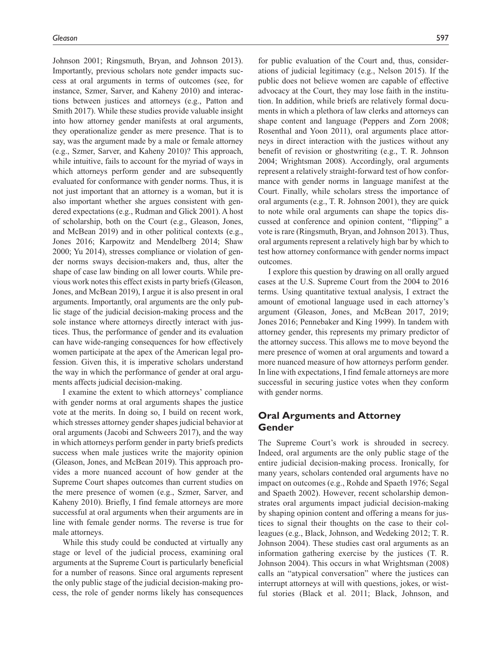Johnson 2001; Ringsmuth, Bryan, and Johnson 2013). Importantly, previous scholars note gender impacts success at oral arguments in terms of outcomes (see, for instance, Szmer, Sarver, and Kaheny 2010) and interactions between justices and attorneys (e.g., Patton and Smith 2017). While these studies provide valuable insight into how attorney gender manifests at oral arguments, they operationalize gender as mere presence. That is to say, was the argument made by a male or female attorney (e.g., Szmer, Sarver, and Kaheny 2010)? This approach, while intuitive, fails to account for the myriad of ways in which attorneys perform gender and are subsequently evaluated for conformance with gender norms. Thus, it is not just important that an attorney is a woman, but it is also important whether she argues consistent with gendered expectations (e.g., Rudman and Glick 2001). A host of scholarship, both on the Court (e.g., Gleason, Jones, and McBean 2019) and in other political contexts (e.g., Jones 2016; Karpowitz and Mendelberg 2014; Shaw 2000; Yu 2014), stresses compliance or violation of gender norms sways decision-makers and, thus, alter the shape of case law binding on all lower courts. While previous work notes this effect exists in party briefs (Gleason, Jones, and McBean 2019), I argue it is also present in oral arguments. Importantly, oral arguments are the only public stage of the judicial decision-making process and the sole instance where attorneys directly interact with justices. Thus, the performance of gender and its evaluation can have wide-ranging consequences for how effectively women participate at the apex of the American legal profession. Given this, it is imperative scholars understand the way in which the performance of gender at oral arguments affects judicial decision-making.

I examine the extent to which attorneys' compliance with gender norms at oral arguments shapes the justice vote at the merits. In doing so, I build on recent work, which stresses attorney gender shapes judicial behavior at oral arguments (Jacobi and Schweers 2017), and the way in which attorneys perform gender in party briefs predicts success when male justices write the majority opinion (Gleason, Jones, and McBean 2019). This approach provides a more nuanced account of how gender at the Supreme Court shapes outcomes than current studies on the mere presence of women (e.g., Szmer, Sarver, and Kaheny 2010). Briefly, I find female attorneys are more successful at oral arguments when their arguments are in line with female gender norms. The reverse is true for male attorneys.

While this study could be conducted at virtually any stage or level of the judicial process, examining oral arguments at the Supreme Court is particularly beneficial for a number of reasons. Since oral arguments represent the only public stage of the judicial decision-making process, the role of gender norms likely has consequences

for public evaluation of the Court and, thus, considerations of judicial legitimacy (e.g., Nelson 2015). If the public does not believe women are capable of effective advocacy at the Court, they may lose faith in the institution. In addition, while briefs are relatively formal documents in which a plethora of law clerks and attorneys can shape content and language (Peppers and Zorn 2008; Rosenthal and Yoon 2011), oral arguments place attorneys in direct interaction with the justices without any benefit of revision or ghostwriting (e.g., T. R. Johnson 2004; Wrightsman 2008). Accordingly, oral arguments represent a relatively straight-forward test of how conformance with gender norms in language manifest at the Court. Finally, while scholars stress the importance of oral arguments (e.g., T. R. Johnson 2001), they are quick to note while oral arguments can shape the topics discussed at conference and opinion content, "flipping" a vote is rare (Ringsmuth, Bryan, and Johnson 2013). Thus, oral arguments represent a relatively high bar by which to test how attorney conformance with gender norms impact outcomes.

I explore this question by drawing on all orally argued cases at the U.S. Supreme Court from the 2004 to 2016 terms. Using quantitative textual analysis, I extract the amount of emotional language used in each attorney's argument (Gleason, Jones, and McBean 2017, 2019; Jones 2016; Pennebaker and King 1999). In tandem with attorney gender, this represents my primary predictor of the attorney success. This allows me to move beyond the mere presence of women at oral arguments and toward a more nuanced measure of how attorneys perform gender. In line with expectations, I find female attorneys are more successful in securing justice votes when they conform with gender norms.

# **Oral Arguments and Attorney Gender**

The Supreme Court's work is shrouded in secrecy. Indeed, oral arguments are the only public stage of the entire judicial decision-making process. Ironically, for many years, scholars contended oral arguments have no impact on outcomes (e.g., Rohde and Spaeth 1976; Segal and Spaeth 2002). However, recent scholarship demonstrates oral arguments impact judicial decision-making by shaping opinion content and offering a means for justices to signal their thoughts on the case to their colleagues (e.g., Black, Johnson, and Wedeking 2012; T. R. Johnson 2004). These studies cast oral arguments as an information gathering exercise by the justices (T. R. Johnson 2004). This occurs in what Wrightsman (2008) calls an "atypical conversation" where the justices can interrupt attorneys at will with questions, jokes, or wistful stories (Black et al. 2011; Black, Johnson, and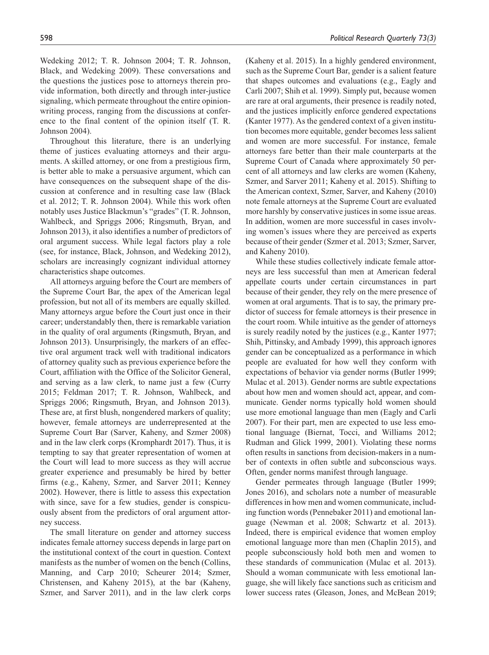Wedeking 2012; T. R. Johnson 2004; T. R. Johnson, Black, and Wedeking 2009). These conversations and the questions the justices pose to attorneys therein provide information, both directly and through inter-justice signaling, which permeate throughout the entire opinionwriting process, ranging from the discussions at conference to the final content of the opinion itself (T. R. Johnson 2004).

Throughout this literature, there is an underlying theme of justices evaluating attorneys and their arguments. A skilled attorney, or one from a prestigious firm, is better able to make a persuasive argument, which can have consequences on the subsequent shape of the discussion at conference and in resulting case law (Black et al. 2012; T. R. Johnson 2004). While this work often notably uses Justice Blackmun's "grades" (T. R. Johnson, Wahlbeck, and Spriggs 2006; Ringsmuth, Bryan, and Johnson 2013), it also identifies a number of predictors of oral argument success. While legal factors play a role (see, for instance, Black, Johnson, and Wedeking 2012), scholars are increasingly cognizant individual attorney characteristics shape outcomes.

All attorneys arguing before the Court are members of the Supreme Court Bar, the apex of the American legal profession, but not all of its members are equally skilled. Many attorneys argue before the Court just once in their career; understandably then, there is remarkable variation in the quality of oral arguments (Ringsmuth, Bryan, and Johnson 2013). Unsurprisingly, the markers of an effective oral argument track well with traditional indicators of attorney quality such as previous experience before the Court, affiliation with the Office of the Solicitor General, and serving as a law clerk, to name just a few (Curry 2015; Feldman 2017; T. R. Johnson, Wahlbeck, and Spriggs 2006; Ringsmuth, Bryan, and Johnson 2013). These are, at first blush, nongendered markers of quality; however, female attorneys are underrepresented at the Supreme Court Bar (Sarver, Kaheny, and Szmer 2008) and in the law clerk corps (Kromphardt 2017). Thus, it is tempting to say that greater representation of women at the Court will lead to more success as they will accrue greater experience and presumably be hired by better firms (e.g., Kaheny, Szmer, and Sarver 2011; Kenney 2002). However, there is little to assess this expectation with since, save for a few studies, gender is conspicuously absent from the predictors of oral argument attorney success.

The small literature on gender and attorney success indicates female attorney success depends in large part on the institutional context of the court in question. Context manifests as the number of women on the bench (Collins, Manning, and Carp 2010; Scheurer 2014; Szmer, Christensen, and Kaheny 2015), at the bar (Kaheny, Szmer, and Sarver 2011), and in the law clerk corps (Kaheny et al. 2015). In a highly gendered environment, such as the Supreme Court Bar, gender is a salient feature that shapes outcomes and evaluations (e.g., Eagly and Carli 2007; Shih et al. 1999). Simply put, because women are rare at oral arguments, their presence is readily noted, and the justices implicitly enforce gendered expectations (Kanter 1977). As the gendered context of a given institution becomes more equitable, gender becomes less salient and women are more successful. For instance, female attorneys fare better than their male counterparts at the Supreme Court of Canada where approximately 50 percent of all attorneys and law clerks are women (Kaheny, Szmer, and Sarver 2011; Kaheny et al. 2015). Shifting to the American context, Szmer, Sarver, and Kaheny (2010) note female attorneys at the Supreme Court are evaluated more harshly by conservative justices in some issue areas. In addition, women are more successful in cases involving women's issues where they are perceived as experts because of their gender (Szmer et al. 2013; Szmer, Sarver, and Kaheny 2010).

While these studies collectively indicate female attorneys are less successful than men at American federal appellate courts under certain circumstances in part because of their gender, they rely on the mere presence of women at oral arguments. That is to say, the primary predictor of success for female attorneys is their presence in the court room. While intuitive as the gender of attorneys is surely readily noted by the justices (e.g., Kanter 1977; Shih, Pittinsky, and Ambady 1999), this approach ignores gender can be conceptualized as a performance in which people are evaluated for how well they conform with expectations of behavior via gender norms (Butler 1999; Mulac et al. 2013). Gender norms are subtle expectations about how men and women should act, appear, and communicate. Gender norms typically hold women should use more emotional language than men (Eagly and Carli 2007). For their part, men are expected to use less emotional language (Biernat, Tocci, and Williams 2012; Rudman and Glick 1999, 2001). Violating these norms often results in sanctions from decision-makers in a number of contexts in often subtle and subconscious ways. Often, gender norms manifest through language.

Gender permeates through language (Butler 1999; Jones 2016), and scholars note a number of measurable differences in how men and women communicate, including function words (Pennebaker 2011) and emotional language (Newman et al. 2008; Schwartz et al. 2013). Indeed, there is empirical evidence that women employ emotional language more than men (Chaplin 2015), and people subconsciously hold both men and women to these standards of communication (Mulac et al. 2013). Should a woman communicate with less emotional language, she will likely face sanctions such as criticism and lower success rates (Gleason, Jones, and McBean 2019;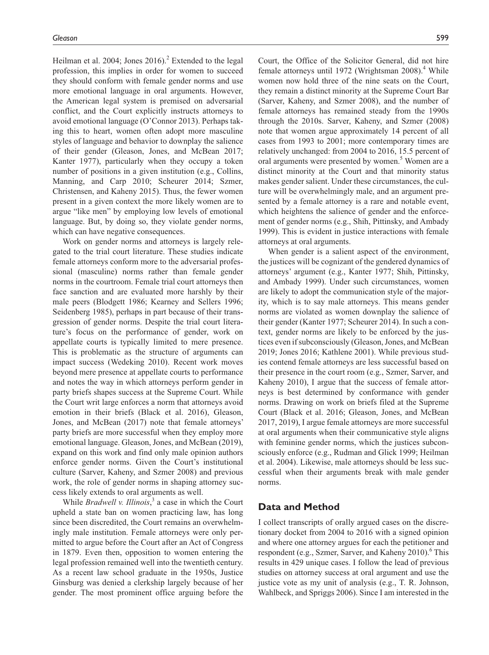Heilman et al. 2004; Jones  $2016$ .<sup>2</sup> Extended to the legal profession, this implies in order for women to succeed they should conform with female gender norms and use more emotional language in oral arguments. However, the American legal system is premised on adversarial conflict, and the Court explicitly instructs attorneys to avoid emotional language (O'Connor 2013). Perhaps taking this to heart, women often adopt more masculine styles of language and behavior to downplay the salience of their gender (Gleason, Jones, and McBean 2017; Kanter 1977), particularly when they occupy a token number of positions in a given institution (e.g., Collins, Manning, and Carp 2010; Scheurer 2014; Szmer, Christensen, and Kaheny 2015). Thus, the fewer women present in a given context the more likely women are to argue "like men" by employing low levels of emotional language. But, by doing so, they violate gender norms, which can have negative consequences.

Work on gender norms and attorneys is largely relegated to the trial court literature. These studies indicate female attorneys conform more to the adversarial professional (masculine) norms rather than female gender norms in the courtroom. Female trial court attorneys then face sanction and are evaluated more harshly by their male peers (Blodgett 1986; Kearney and Sellers 1996; Seidenberg 1985), perhaps in part because of their transgression of gender norms. Despite the trial court literature's focus on the performance of gender, work on appellate courts is typically limited to mere presence. This is problematic as the structure of arguments can impact success (Wedeking 2010). Recent work moves beyond mere presence at appellate courts to performance and notes the way in which attorneys perform gender in party briefs shapes success at the Supreme Court. While the Court writ large enforces a norm that attorneys avoid emotion in their briefs (Black et al. 2016), Gleason, Jones, and McBean (2017) note that female attorneys' party briefs are more successful when they employ more emotional language. Gleason, Jones, and McBean (2019), expand on this work and find only male opinion authors enforce gender norms. Given the Court's institutional culture (Sarver, Kaheny, and Szmer 2008) and previous work, the role of gender norms in shaping attorney success likely extends to oral arguments as well.

While *Bradwell v. Illinois*,<sup>3</sup> a case in which the Court upheld a state ban on women practicing law, has long since been discredited, the Court remains an overwhelmingly male institution. Female attorneys were only permitted to argue before the Court after an Act of Congress in 1879. Even then, opposition to women entering the legal profession remained well into the twentieth century. As a recent law school graduate in the 1950s, Justice Ginsburg was denied a clerkship largely because of her gender. The most prominent office arguing before the

Court, the Office of the Solicitor General, did not hire female attorneys until 1972 (Wrightsman 2008).<sup>4</sup> While women now hold three of the nine seats on the Court, they remain a distinct minority at the Supreme Court Bar (Sarver, Kaheny, and Szmer 2008), and the number of female attorneys has remained steady from the 1990s through the 2010s. Sarver, Kaheny, and Szmer (2008) note that women argue approximately 14 percent of all cases from 1993 to 2001; more contemporary times are relatively unchanged: from 2004 to 2016, 15.5 percent of oral arguments were presented by women.<sup>5</sup> Women are a distinct minority at the Court and that minority status makes gender salient. Under these circumstances, the culture will be overwhelmingly male, and an argument presented by a female attorney is a rare and notable event, which heightens the salience of gender and the enforcement of gender norms (e.g., Shih, Pittinsky, and Ambady 1999). This is evident in justice interactions with female attorneys at oral arguments.

When gender is a salient aspect of the environment, the justices will be cognizant of the gendered dynamics of attorneys' argument (e.g., Kanter 1977; Shih, Pittinsky, and Ambady 1999). Under such circumstances, women are likely to adopt the communication style of the majority, which is to say male attorneys. This means gender norms are violated as women downplay the salience of their gender (Kanter 1977; Scheurer 2014). In such a context, gender norms are likely to be enforced by the justices even if subconsciously (Gleason, Jones, and McBean 2019; Jones 2016; Kathlene 2001). While previous studies contend female attorneys are less successful based on their presence in the court room (e.g., Szmer, Sarver, and Kaheny 2010), I argue that the success of female attorneys is best determined by conformance with gender norms. Drawing on work on briefs filed at the Supreme Court (Black et al. 2016; Gleason, Jones, and McBean 2017, 2019), I argue female attorneys are more successful at oral arguments when their communicative style aligns with feminine gender norms, which the justices subconsciously enforce (e.g., Rudman and Glick 1999; Heilman et al. 2004). Likewise, male attorneys should be less successful when their arguments break with male gender norms.

# **Data and Method**

I collect transcripts of orally argued cases on the discretionary docket from 2004 to 2016 with a signed opinion and where one attorney argues for each the petitioner and respondent (e.g., Szmer, Sarver, and Kaheny 2010).<sup>6</sup> This results in 429 unique cases. I follow the lead of previous studies on attorney success at oral argument and use the justice vote as my unit of analysis (e.g., T. R. Johnson, Wahlbeck, and Spriggs 2006). Since I am interested in the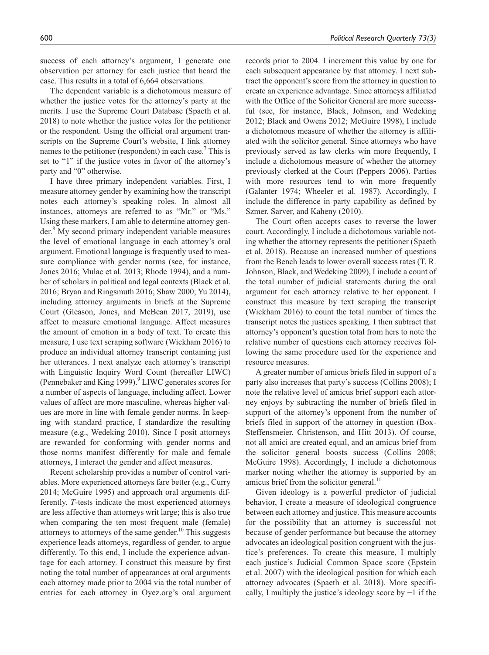success of each attorney's argument, I generate one observation per attorney for each justice that heard the case. This results in a total of 6,664 observations.

The dependent variable is a dichotomous measure of whether the justice votes for the attorney's party at the merits. I use the Supreme Court Database (Spaeth et al. 2018) to note whether the justice votes for the petitioner or the respondent. Using the official oral argument transcripts on the Supreme Court's website, I link attorney names to the petitioner (respondent) in each case.<sup>7</sup> This is set to "1" if the justice votes in favor of the attorney's party and "0" otherwise.

I have three primary independent variables. First, I measure attorney gender by examining how the transcript notes each attorney's speaking roles. In almost all instances, attorneys are referred to as "Mr." or "Ms." Using these markers, I am able to determine attorney gender.<sup>8</sup> My second primary independent variable measures the level of emotional language in each attorney's oral argument. Emotional language is frequently used to measure compliance with gender norms (see, for instance, Jones 2016; Mulac et al. 2013; Rhode 1994), and a number of scholars in political and legal contexts (Black et al. 2016; Bryan and Ringsmuth 2016; Shaw 2000; Yu 2014), including attorney arguments in briefs at the Supreme Court (Gleason, Jones, and McBean 2017, 2019), use affect to measure emotional language. Affect measures the amount of emotion in a body of text. To create this measure, I use text scraping software (Wickham 2016) to produce an individual attorney transcript containing just her utterances. I next analyze each attorney's transcript with Linguistic Inquiry Word Count (hereafter LIWC) (Pennebaker and King 1999).<sup>9</sup> LIWC generates scores for a number of aspects of language, including affect. Lower values of affect are more masculine, whereas higher values are more in line with female gender norms. In keeping with standard practice, I standardize the resulting measure (e.g., Wedeking 2010). Since I posit attorneys are rewarded for conforming with gender norms and those norms manifest differently for male and female attorneys, I interact the gender and affect measures.

Recent scholarship provides a number of control variables. More experienced attorneys fare better (e.g., Curry 2014; McGuire 1995) and approach oral arguments differently. *T*-tests indicate the most experienced attorneys are less affective than attorneys writ large; this is also true when comparing the ten most frequent male (female) attorneys to attorneys of the same gender.<sup>10</sup> This suggests experience leads attorneys, regardless of gender, to argue differently. To this end, I include the experience advantage for each attorney. I construct this measure by first noting the total number of appearances at oral arguments each attorney made prior to 2004 via the total number of entries for each attorney in Oyez.org's oral argument records prior to 2004. I increment this value by one for each subsequent appearance by that attorney. I next subtract the opponent's score from the attorney in question to create an experience advantage. Since attorneys affiliated with the Office of the Solicitor General are more successful (see, for instance, Black, Johnson, and Wedeking 2012; Black and Owens 2012; McGuire 1998), I include a dichotomous measure of whether the attorney is affiliated with the solicitor general. Since attorneys who have previously served as law clerks win more frequently, I include a dichotomous measure of whether the attorney previously clerked at the Court (Peppers 2006). Parties with more resources tend to win more frequently (Galanter 1974; Wheeler et al. 1987). Accordingly, I include the difference in party capability as defined by Szmer, Sarver, and Kaheny (2010).

The Court often accepts cases to reverse the lower court. Accordingly, I include a dichotomous variable noting whether the attorney represents the petitioner (Spaeth et al. 2018). Because an increased number of questions from the Bench leads to lower overall success rates (T. R. Johnson, Black, and Wedeking 2009), I include a count of the total number of judicial statements during the oral argument for each attorney relative to her opponent. I construct this measure by text scraping the transcript (Wickham 2016) to count the total number of times the transcript notes the justices speaking. I then subtract that attorney's opponent's question total from hers to note the relative number of questions each attorney receives following the same procedure used for the experience and resource measures.

A greater number of amicus briefs filed in support of a party also increases that party's success (Collins 2008); I note the relative level of amicus brief support each attorney enjoys by subtracting the number of briefs filed in support of the attorney's opponent from the number of briefs filed in support of the attorney in question (Box-Steffensmeier, Christenson, and Hitt 2013). Of course, not all amici are created equal, and an amicus brief from the solicitor general boosts success (Collins 2008; McGuire 1998). Accordingly, I include a dichotomous marker noting whether the attorney is supported by an amicus brief from the solicitor general.<sup>11</sup>

Given ideology is a powerful predictor of judicial behavior, I create a measure of ideological congruence between each attorney and justice. This measure accounts for the possibility that an attorney is successful not because of gender performance but because the attorney advocates an ideological position congruent with the justice's preferences. To create this measure, I multiply each justice's Judicial Common Space score (Epstein et al. 2007) with the ideological position for which each attorney advocates (Spaeth et al. 2018). More specifically, I multiply the justice's ideology score by −1 if the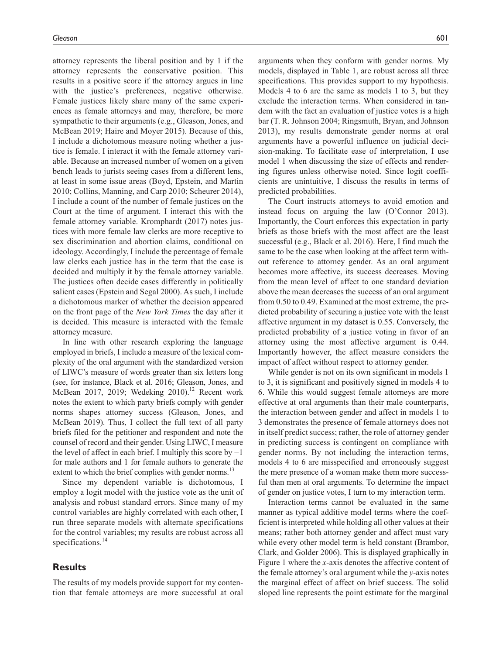attorney represents the liberal position and by 1 if the attorney represents the conservative position. This results in a positive score if the attorney argues in line with the justice's preferences, negative otherwise. Female justices likely share many of the same experiences as female attorneys and may, therefore, be more sympathetic to their arguments (e.g., Gleason, Jones, and McBean 2019; Haire and Moyer 2015). Because of this, I include a dichotomous measure noting whether a justice is female. I interact it with the female attorney variable. Because an increased number of women on a given bench leads to jurists seeing cases from a different lens, at least in some issue areas (Boyd, Epstein, and Martin 2010; Collins, Manning, and Carp 2010; Scheurer 2014), I include a count of the number of female justices on the Court at the time of argument. I interact this with the female attorney variable. Kromphardt (2017) notes justices with more female law clerks are more receptive to sex discrimination and abortion claims, conditional on ideology. Accordingly, I include the percentage of female law clerks each justice has in the term that the case is decided and multiply it by the female attorney variable. The justices often decide cases differently in politically salient cases (Epstein and Segal 2000). As such, I include a dichotomous marker of whether the decision appeared on the front page of the *New York Times* the day after it is decided. This measure is interacted with the female attorney measure.

In line with other research exploring the language employed in briefs, I include a measure of the lexical complexity of the oral argument with the standardized version of LIWC's measure of words greater than six letters long (see, for instance, Black et al. 2016; Gleason, Jones, and McBean 2017, 2019; Wedeking 2010).<sup>12</sup> Recent work notes the extent to which party briefs comply with gender norms shapes attorney success (Gleason, Jones, and McBean 2019). Thus, I collect the full text of all party briefs filed for the petitioner and respondent and note the counsel of record and their gender. Using LIWC, I measure the level of affect in each brief. I multiply this score by  $-1$ for male authors and 1 for female authors to generate the extent to which the brief complies with gender norms.<sup>13</sup>

Since my dependent variable is dichotomous, I employ a logit model with the justice vote as the unit of analysis and robust standard errors. Since many of my control variables are highly correlated with each other, I run three separate models with alternate specifications for the control variables; my results are robust across all specifications.<sup>14</sup>

# **Results**

The results of my models provide support for my contention that female attorneys are more successful at oral arguments when they conform with gender norms. My models, displayed in Table 1, are robust across all three specifications. This provides support to my hypothesis. Models 4 to 6 are the same as models 1 to 3, but they exclude the interaction terms. When considered in tandem with the fact an evaluation of justice votes is a high bar (T. R. Johnson 2004; Ringsmuth, Bryan, and Johnson 2013), my results demonstrate gender norms at oral arguments have a powerful influence on judicial decision-making. To facilitate ease of interpretation, I use model 1 when discussing the size of effects and rendering figures unless otherwise noted. Since logit coefficients are unintuitive, I discuss the results in terms of predicted probabilities.

The Court instructs attorneys to avoid emotion and instead focus on arguing the law (O'Connor 2013). Importantly, the Court enforces this expectation in party briefs as those briefs with the most affect are the least successful (e.g., Black et al. 2016). Here, I find much the same to be the case when looking at the affect term without reference to attorney gender. As an oral argument becomes more affective, its success decreases. Moving from the mean level of affect to one standard deviation above the mean decreases the success of an oral argument from 0.50 to 0.49. Examined at the most extreme, the predicted probability of securing a justice vote with the least affective argument in my dataset is 0.55. Conversely, the predicted probability of a justice voting in favor of an attorney using the most affective argument is 0.44. Importantly however, the affect measure considers the impact of affect without respect to attorney gender.

While gender is not on its own significant in models 1 to 3, it is significant and positively signed in models 4 to 6. While this would suggest female attorneys are more effective at oral arguments than their male counterparts, the interaction between gender and affect in models 1 to 3 demonstrates the presence of female attorneys does not in itself predict success; rather, the role of attorney gender in predicting success is contingent on compliance with gender norms. By not including the interaction terms, models 4 to 6 are misspecified and erroneously suggest the mere presence of a woman make them more successful than men at oral arguments. To determine the impact of gender on justice votes, I turn to my interaction term.

Interaction terms cannot be evaluated in the same manner as typical additive model terms where the coefficient is interpreted while holding all other values at their means; rather both attorney gender and affect must vary while every other model term is held constant (Brambor, Clark, and Golder 2006). This is displayed graphically in Figure 1 where the *x*-axis denotes the affective content of the female attorney's oral argument while the *y*-axis notes the marginal effect of affect on brief success. The solid sloped line represents the point estimate for the marginal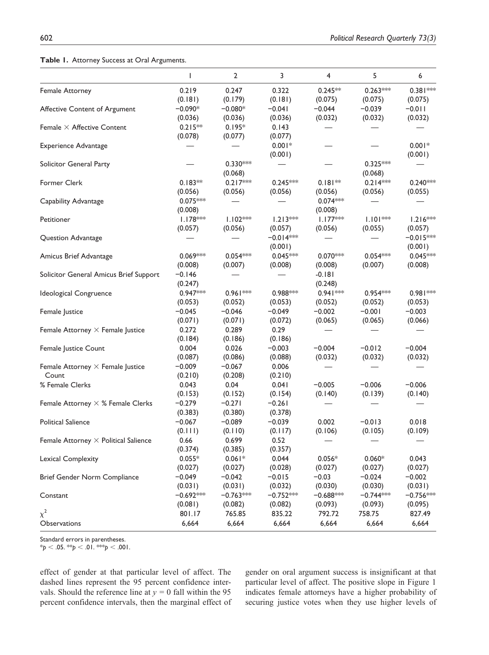## **Table 1.** Attorney Success at Oral Arguments.

|                                             | $\mathsf{I}$ | $\overline{2}$ | 3           | 4           | 5           | 6           |
|---------------------------------------------|--------------|----------------|-------------|-------------|-------------|-------------|
| Female Attorney                             | 0.219        | 0.247          | 0.322       | $0.245**$   | $0.263***$  | $0.381***$  |
|                                             | (0.181)      | (0.179)        | (0.181)     | (0.075)     | (0.075)     | (0.075)     |
| Affective Content of Argument               | $-0.090*$    | $-0.080*$      | $-0.041$    | $-0.044$    | $-0.039$    | $-0.011$    |
|                                             | (0.036)      | (0.036)        | (0.036)     | (0.032)     | (0.032)     | (0.032)     |
| Female $\times$ Affective Content           | $0.215**$    | $0.195*$       | 0.143       |             |             |             |
|                                             | (0.078)      | (0.077)        | (0.077)     |             |             |             |
| <b>Experience Advantage</b>                 |              |                | $0.001*$    |             |             | $0.001*$    |
|                                             |              |                | (0.001)     |             |             | (0.001)     |
| Solicitor General Party                     |              | $0.330***$     |             |             | $0.325***$  |             |
|                                             |              | (0.068)        |             |             | (0.068)     |             |
| Former Clerk                                | $0.183**$    | $0.217***$     | $0.245***$  | $0.181**$   | $0.214***$  | $0.240***$  |
|                                             | (0.056)      | (0.056)        | (0.056)     | (0.056)     | (0.056)     | (0.055)     |
| Capability Advantage                        | $0.075***$   |                |             | $0.074***$  |             |             |
|                                             | (0.008)      |                |             | (0.008)     |             |             |
| Petitioner                                  | $1.178***$   | $1.102***$     | $1.213***$  | $1.177***$  | $1.101***$  | $1.216***$  |
|                                             | (0.057)      | (0.056)        | (0.057)     | (0.056)     | (0.055)     | (0.057)     |
| Question Advantage                          |              |                | $-0.014$ ** |             |             | $-0.015***$ |
|                                             |              |                | (0.001)     |             |             | (0.001)     |
| Amicus Brief Advantage                      | $0.069***$   | $0.054***$     | $0.045***$  | $0.070***$  | $0.054***$  | $0.045***$  |
|                                             | (0.008)      | (0.007)        | (0.008)     | (0.008)     | (0.007)     | (0.008)     |
| Solicitor General Amicus Brief Support      | $-0.146$     |                |             | $-0.181$    |             |             |
|                                             | (0.247)      |                |             | (0.248)     |             |             |
| Ideological Congruence                      | $0.947***$   | $0.961***$     | $0.988***$  | $0.941***$  | $0.954***$  | 0.981 **    |
|                                             | (0.053)      | (0.052)        | (0.053)     | (0.052)     | (0.052)     | (0.053)     |
| Female Justice                              | $-0.045$     | $-0.046$       | $-0.049$    | $-0.002$    | $-0.001$    | $-0.003$    |
|                                             | (0.071)      | (0.071)        | (0.072)     | (0.065)     | (0.065)     | (0.066)     |
| Female Attorney $\times$ Female Justice     | 0.272        | 0.289          | 0.29        |             |             |             |
|                                             | (0.184)      | (0.186)        | (0.186)     |             |             |             |
| Female Justice Count                        | 0.004        | 0.026          | $-0.003$    | $-0.004$    | $-0.012$    | $-0.004$    |
|                                             | (0.087)      | (0.086)        | (0.088)     | (0.032)     | (0.032)     | (0.032)     |
| Female Attorney $\times$ Female Justice     | $-0.009$     | $-0.067$       | 0.006       |             |             |             |
| Count                                       | (0.210)      | (0.208)        | (0.210)     |             |             |             |
| % Female Clerks                             | 0.043        | 0.04           | 0.041       | $-0.005$    | $-0.006$    | $-0.006$    |
|                                             | (0.153)      | (0.152)        | (0.154)     | (0.140)     | (0.139)     | (0.140)     |
| Female Attorney $\times$ % Female Clerks    | $-0.279$     | $-0.271$       | $-0.261$    |             |             |             |
|                                             | (0.383)      | (0.380)        | (0.378)     |             |             |             |
| <b>Political Salience</b>                   | $-0.067$     | $-0.089$       | $-0.039$    | 0.002       | $-0.013$    | 0.018       |
|                                             | (0.111)      | (0.110)        | (0.117)     | (0.106)     | (0.105)     | (0.109)     |
| Female Attorney $\times$ Political Salience | 0.66         | 0.699          | 0.52        |             |             |             |
|                                             | (0.374)      | (0.385)        | (0.357)     |             |             |             |
| Lexical Complexity                          | $0.055*$     | $0.061*$       | 0.044       | $0.056*$    | $0.060*$    | 0.043       |
|                                             | (0.027)      | (0.027)        | (0.028)     | (0.027)     | (0.027)     | (0.027)     |
| Brief Gender Norm Compliance                | $-0.049$     | $-0.042$       | $-0.015$    | $-0.03$     | $-0.024$    | $-0.002$    |
|                                             | (0.031)      | (0.031)        | (0.032)     | (0.030)     | (0.030)     | (0.031)     |
| Constant                                    | $-0.692***$  | $-0.763***$    | $-0.752***$ | $-0.688***$ | $-0.744***$ | $-0.756***$ |
|                                             | (0.081)      | (0.082)        | (0.082)     | (0.093)     | (0.093)     | (0.095)     |
| $\chi^2$                                    | 801.17       | 765.85         | 835.22      | 792.72      | 758.75      | 827.49      |
| Observations                                | 6,664        | 6,664          | 6,664       | 6,664       | 6,664       | 6,664       |

Standard errors in parentheses.

 $*$ *p* < .05.  $*$ *x*<sub>*p*</sub> < .01.  $*$ *x<sub><i>x*</sub></sup>*p* < .001.

effect of gender at that particular level of affect. The dashed lines represent the 95 percent confidence intervals. Should the reference line at  $y = 0$  fall within the 95 percent confidence intervals, then the marginal effect of gender on oral argument success is insignificant at that particular level of affect. The positive slope in Figure 1 indicates female attorneys have a higher probability of securing justice votes when they use higher levels of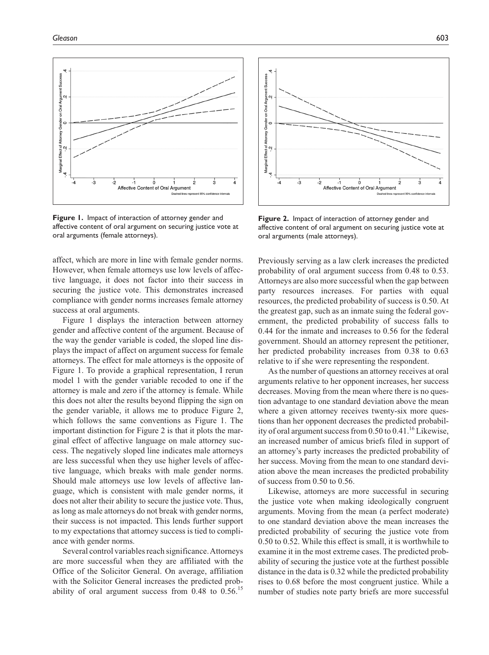

**Figure 1.** Impact of interaction of attorney gender and affective content of oral argument on securing justice vote at oral arguments (female attorneys).

affect, which are more in line with female gender norms. However, when female attorneys use low levels of affective language, it does not factor into their success in securing the justice vote. This demonstrates increased compliance with gender norms increases female attorney success at oral arguments.

Figure 1 displays the interaction between attorney gender and affective content of the argument. Because of the way the gender variable is coded, the sloped line displays the impact of affect on argument success for female attorneys. The effect for male attorneys is the opposite of Figure 1. To provide a graphical representation, I rerun model 1 with the gender variable recoded to one if the attorney is male and zero if the attorney is female. While this does not alter the results beyond flipping the sign on the gender variable, it allows me to produce Figure 2, which follows the same conventions as Figure 1. The important distinction for Figure 2 is that it plots the marginal effect of affective language on male attorney success. The negatively sloped line indicates male attorneys are less successful when they use higher levels of affective language, which breaks with male gender norms. Should male attorneys use low levels of affective language, which is consistent with male gender norms, it does not alter their ability to secure the justice vote. Thus, as long as male attorneys do not break with gender norms, their success is not impacted. This lends further support to my expectations that attorney success is tied to compliance with gender norms.

Several control variables reach significance. Attorneys are more successful when they are affiliated with the Office of the Solicitor General. On average, affiliation with the Solicitor General increases the predicted probability of oral argument success from  $0.48$  to  $0.56$ .<sup>15</sup>



**Figure 2.** Impact of interaction of attorney gender and affective content of oral argument on securing justice vote at oral arguments (male attorneys).

Previously serving as a law clerk increases the predicted probability of oral argument success from 0.48 to 0.53. Attorneys are also more successful when the gap between party resources increases. For parties with equal resources, the predicted probability of success is 0.50. At the greatest gap, such as an inmate suing the federal government, the predicted probability of success falls to 0.44 for the inmate and increases to 0.56 for the federal government. Should an attorney represent the petitioner, her predicted probability increases from 0.38 to 0.63 relative to if she were representing the respondent.

As the number of questions an attorney receives at oral arguments relative to her opponent increases, her success decreases. Moving from the mean where there is no question advantage to one standard deviation above the mean where a given attorney receives twenty-six more questions than her opponent decreases the predicted probability of oral argument success from  $0.50$  to  $0.41$ .<sup>16</sup> Likewise, an increased number of amicus briefs filed in support of an attorney's party increases the predicted probability of her success. Moving from the mean to one standard deviation above the mean increases the predicted probability of success from 0.50 to 0.56.

Likewise, attorneys are more successful in securing the justice vote when making ideologically congruent arguments. Moving from the mean (a perfect moderate) to one standard deviation above the mean increases the predicted probability of securing the justice vote from 0.50 to 0.52. While this effect is small, it is worthwhile to examine it in the most extreme cases. The predicted probability of securing the justice vote at the furthest possible distance in the data is 0.32 while the predicted probability rises to 0.68 before the most congruent justice. While a number of studies note party briefs are more successful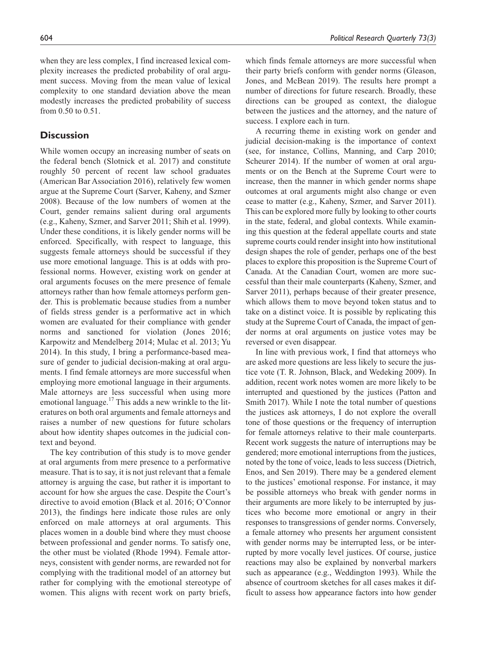when they are less complex, I find increased lexical complexity increases the predicted probability of oral argument success. Moving from the mean value of lexical complexity to one standard deviation above the mean modestly increases the predicted probability of success from 0.50 to 0.51.

# **Discussion**

While women occupy an increasing number of seats on the federal bench (Slotnick et al. 2017) and constitute roughly 50 percent of recent law school graduates (American Bar Association 2016), relatively few women argue at the Supreme Court (Sarver, Kaheny, and Szmer 2008). Because of the low numbers of women at the Court, gender remains salient during oral arguments (e.g., Kaheny, Szmer, and Sarver 2011; Shih et al. 1999). Under these conditions, it is likely gender norms will be enforced. Specifically, with respect to language, this suggests female attorneys should be successful if they use more emotional language. This is at odds with professional norms. However, existing work on gender at oral arguments focuses on the mere presence of female attorneys rather than how female attorneys perform gender. This is problematic because studies from a number of fields stress gender is a performative act in which women are evaluated for their compliance with gender norms and sanctioned for violation (Jones 2016; Karpowitz and Mendelberg 2014; Mulac et al. 2013; Yu 2014). In this study, I bring a performance-based measure of gender to judicial decision-making at oral arguments. I find female attorneys are more successful when employing more emotional language in their arguments. Male attorneys are less successful when using more emotional language.<sup>17</sup> This adds a new wrinkle to the literatures on both oral arguments and female attorneys and raises a number of new questions for future scholars about how identity shapes outcomes in the judicial context and beyond.

The key contribution of this study is to move gender at oral arguments from mere presence to a performative measure. That is to say, it is not just relevant that a female attorney is arguing the case, but rather it is important to account for how she argues the case. Despite the Court's directive to avoid emotion (Black et al. 2016; O'Connor 2013), the findings here indicate those rules are only enforced on male attorneys at oral arguments. This places women in a double bind where they must choose between professional and gender norms. To satisfy one, the other must be violated (Rhode 1994). Female attorneys, consistent with gender norms, are rewarded not for complying with the traditional model of an attorney but rather for complying with the emotional stereotype of women. This aligns with recent work on party briefs,

which finds female attorneys are more successful when their party briefs conform with gender norms (Gleason, Jones, and McBean 2019). The results here prompt a number of directions for future research. Broadly, these directions can be grouped as context, the dialogue between the justices and the attorney, and the nature of success. I explore each in turn.

A recurring theme in existing work on gender and judicial decision-making is the importance of context (see, for instance, Collins, Manning, and Carp 2010; Scheurer 2014). If the number of women at oral arguments or on the Bench at the Supreme Court were to increase, then the manner in which gender norms shape outcomes at oral arguments might also change or even cease to matter (e.g., Kaheny, Szmer, and Sarver 2011). This can be explored more fully by looking to other courts in the state, federal, and global contexts. While examining this question at the federal appellate courts and state supreme courts could render insight into how institutional design shapes the role of gender, perhaps one of the best places to explore this proposition is the Supreme Court of Canada. At the Canadian Court, women are more successful than their male counterparts (Kaheny, Szmer, and Sarver 2011), perhaps because of their greater presence, which allows them to move beyond token status and to take on a distinct voice. It is possible by replicating this study at the Supreme Court of Canada, the impact of gender norms at oral arguments on justice votes may be reversed or even disappear.

In line with previous work, I find that attorneys who are asked more questions are less likely to secure the justice vote (T. R. Johnson, Black, and Wedeking 2009). In addition, recent work notes women are more likely to be interrupted and questioned by the justices (Patton and Smith 2017). While I note the total number of questions the justices ask attorneys, I do not explore the overall tone of those questions or the frequency of interruption for female attorneys relative to their male counterparts. Recent work suggests the nature of interruptions may be gendered; more emotional interruptions from the justices, noted by the tone of voice, leads to less success (Dietrich, Enos, and Sen 2019). There may be a gendered element to the justices' emotional response. For instance, it may be possible attorneys who break with gender norms in their arguments are more likely to be interrupted by justices who become more emotional or angry in their responses to transgressions of gender norms. Conversely, a female attorney who presents her argument consistent with gender norms may be interrupted less, or be interrupted by more vocally level justices. Of course, justice reactions may also be explained by nonverbal markers such as appearance (e.g., Weddington 1993). While the absence of courtroom sketches for all cases makes it difficult to assess how appearance factors into how gender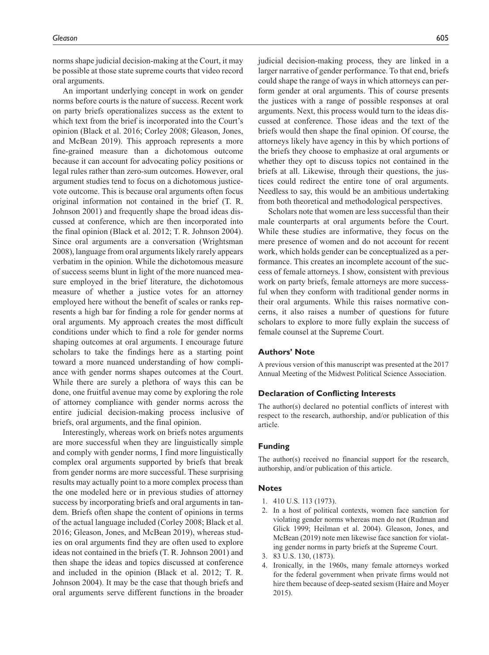norms shape judicial decision-making at the Court, it may be possible at those state supreme courts that video record oral arguments.

An important underlying concept in work on gender norms before courts is the nature of success. Recent work on party briefs operationalizes success as the extent to which text from the brief is incorporated into the Court's opinion (Black et al. 2016; Corley 2008; Gleason, Jones, and McBean 2019). This approach represents a more fine-grained measure than a dichotomous outcome because it can account for advocating policy positions or legal rules rather than zero-sum outcomes. However, oral argument studies tend to focus on a dichotomous justicevote outcome. This is because oral arguments often focus original information not contained in the brief (T. R. Johnson 2001) and frequently shape the broad ideas discussed at conference, which are then incorporated into the final opinion (Black et al. 2012; T. R. Johnson 2004). Since oral arguments are a conversation (Wrightsman 2008), language from oral arguments likely rarely appears verbatim in the opinion. While the dichotomous measure of success seems blunt in light of the more nuanced measure employed in the brief literature, the dichotomous measure of whether a justice votes for an attorney employed here without the benefit of scales or ranks represents a high bar for finding a role for gender norms at oral arguments. My approach creates the most difficult conditions under which to find a role for gender norms shaping outcomes at oral arguments. I encourage future scholars to take the findings here as a starting point toward a more nuanced understanding of how compliance with gender norms shapes outcomes at the Court. While there are surely a plethora of ways this can be done, one fruitful avenue may come by exploring the role of attorney compliance with gender norms across the entire judicial decision-making process inclusive of briefs, oral arguments, and the final opinion.

Interestingly, whereas work on briefs notes arguments are more successful when they are linguistically simple and comply with gender norms, I find more linguistically complex oral arguments supported by briefs that break from gender norms are more successful. These surprising results may actually point to a more complex process than the one modeled here or in previous studies of attorney success by incorporating briefs and oral arguments in tandem. Briefs often shape the content of opinions in terms of the actual language included (Corley 2008; Black et al. 2016; Gleason, Jones, and McBean 2019), whereas studies on oral arguments find they are often used to explore ideas not contained in the briefs (T. R. Johnson 2001) and then shape the ideas and topics discussed at conference and included in the opinion (Black et al. 2012; T. R. Johnson 2004). It may be the case that though briefs and oral arguments serve different functions in the broader

judicial decision-making process, they are linked in a larger narrative of gender performance. To that end, briefs could shape the range of ways in which attorneys can perform gender at oral arguments. This of course presents the justices with a range of possible responses at oral arguments. Next, this process would turn to the ideas discussed at conference. Those ideas and the text of the briefs would then shape the final opinion. Of course, the attorneys likely have agency in this by which portions of the briefs they choose to emphasize at oral arguments or whether they opt to discuss topics not contained in the briefs at all. Likewise, through their questions, the justices could redirect the entire tone of oral arguments. Needless to say, this would be an ambitious undertaking from both theoretical and methodological perspectives.

Scholars note that women are less successful than their male counterparts at oral arguments before the Court. While these studies are informative, they focus on the mere presence of women and do not account for recent work, which holds gender can be conceptualized as a performance. This creates an incomplete account of the success of female attorneys. I show, consistent with previous work on party briefs, female attorneys are more successful when they conform with traditional gender norms in their oral arguments. While this raises normative concerns, it also raises a number of questions for future scholars to explore to more fully explain the success of female counsel at the Supreme Court.

# **Authors' Note**

A previous version of this manuscript was presented at the 2017 Annual Meeting of the Midwest Political Science Association.

## **Declaration of Conflicting Interests**

The author(s) declared no potential conflicts of interest with respect to the research, authorship, and/or publication of this article.

#### **Funding**

The author(s) received no financial support for the research, authorship, and/or publication of this article.

#### **Notes**

- 1. 410 U.S. 113 (1973).
- 2. In a host of political contexts, women face sanction for violating gender norms whereas men do not (Rudman and Glick 1999; Heilman et al. 2004). Gleason, Jones, and McBean (2019) note men likewise face sanction for violating gender norms in party briefs at the Supreme Court.
- 3. 83 U.S. 130, (1873).
- 4. Ironically, in the 1960s, many female attorneys worked for the federal government when private firms would not hire them because of deep-seated sexism (Haire and Moyer 2015).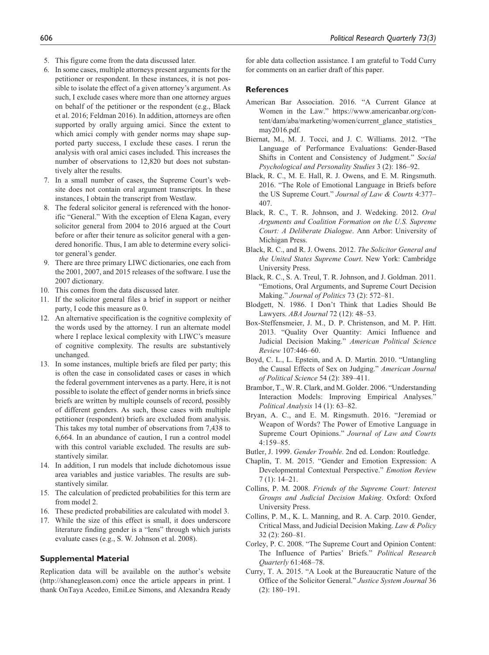- 5. This figure come from the data discussed later.
- 6. In some cases, multiple attorneys present arguments for the petitioner or respondent. In these instances, it is not possible to isolate the effect of a given attorney's argument. As such, I exclude cases where more than one attorney argues on behalf of the petitioner or the respondent (e.g., Black et al. 2016; Feldman 2016). In addition, attorneys are often supported by orally arguing amici. Since the extent to which amici comply with gender norms may shape supported party success, I exclude these cases. I rerun the analysis with oral amici cases included. This increases the number of observations to 12,820 but does not substantively alter the results.
- 7. In a small number of cases, the Supreme Court's website does not contain oral argument transcripts. In these instances, I obtain the transcript from Westlaw.
- 8. The federal solicitor general is referenced with the honorific "General." With the exception of Elena Kagan, every solicitor general from 2004 to 2016 argued at the Court before or after their tenure as solicitor general with a gendered honorific. Thus, I am able to determine every solicitor general's gender.
- 9. There are three primary LIWC dictionaries, one each from the 2001, 2007, and 2015 releases of the software. I use the 2007 dictionary.
- 10. This comes from the data discussed later.
- 11. If the solicitor general files a brief in support or neither party, I code this measure as 0.
- 12. An alternative specification is the cognitive complexity of the words used by the attorney. I run an alternate model where I replace lexical complexity with LIWC's measure of cognitive complexity. The results are substantively unchanged.
- 13. In some instances, multiple briefs are filed per party; this is often the case in consolidated cases or cases in which the federal government intervenes as a party. Here, it is not possible to isolate the effect of gender norms in briefs since briefs are written by multiple counsels of record, possibly of different genders. As such, those cases with multiple petitioner (respondent) briefs are excluded from analysis. This takes my total number of observations from 7,438 to 6,664. In an abundance of caution, I run a control model with this control variable excluded. The results are substantively similar.
- 14. In addition, I run models that include dichotomous issue area variables and justice variables. The results are substantively similar.
- 15. The calculation of predicted probabilities for this term are from model 2.
- 16. These predicted probabilities are calculated with model 3.
- 17. While the size of this effect is small, it does underscore literature finding gender is a "lens" through which jurists evaluate cases (e.g., S. W. Johnson et al. 2008).

## **Supplemental Material**

Replication data will be available on the author's website (<http://shanegleason.com>) once the article appears in print. I thank OnTaya Acedeo, EmiLee Simons, and Alexandra Ready for able data collection assistance. I am grateful to Todd Curry for comments on an earlier draft of this paper.

### **References**

- American Bar Association. 2016. "A Current Glance at Women in the Law." [https://www.americanbar.org/con](https://www.americanbar.org/content/dam/aba/marketing/women/current_glance_statistics_may2016.pdf)[tent/dam/aba/marketing/women/current\\_glance\\_statistics\\_](https://www.americanbar.org/content/dam/aba/marketing/women/current_glance_statistics_may2016.pdf) [may2016.pdf.](https://www.americanbar.org/content/dam/aba/marketing/women/current_glance_statistics_may2016.pdf)
- Biernat, M., M. J. Tocci, and J. C. Williams. 2012. "The Language of Performance Evaluations: Gender-Based Shifts in Content and Consistency of Judgment." *Social Psychological and Personality Studies* 3 (2): 186–92.
- Black, R. C., M. E. Hall, R. J. Owens, and E. M. Ringsmuth. 2016. "The Role of Emotional Language in Briefs before the US Supreme Court." *Journal of Law & Courts* 4:377– 407.
- Black, R. C., T. R. Johnson, and J. Wedeking. 2012. *Oral Arguments and Coalition Formation on the U.S. Supreme Court: A Deliberate Dialogue*. Ann Arbor: University of Michigan Press.
- Black, R. C., and R. J. Owens. 2012. *The Solicitor General and the United States Supreme Court*. New York: Cambridge University Press.
- Black, R. C., S. A. Treul, T. R. Johnson, and J. Goldman. 2011. "Emotions, Oral Arguments, and Supreme Court Decision Making." *Journal of Politics* 73 (2): 572–81.
- Blodgett, N. 1986. I Don't Think that Ladies Should Be Lawyers. *ABA Journal* 72 (12): 48–53.
- Box-Steffensmeier, J. M., D. P. Christenson, and M. P. Hitt. 2013. "Quality Over Quantity: Amici Influence and Judicial Decision Making." *American Political Science Review* 107:446–60.
- Boyd, C. L., L. Epstein, and A. D. Martin. 2010. "Untangling the Causal Effects of Sex on Judging." *American Journal of Political Science* 54 (2): 389–411.
- Brambor, T., W. R. Clark, and M. Golder. 2006. "Understanding Interaction Models: Improving Empirical Analyses.' *Political Analysis* 14 (1): 63–82.
- Bryan, A. C., and E. M. Ringsmuth. 2016. "Jeremiad or Weapon of Words? The Power of Emotive Language in Supreme Court Opinions." *Journal of Law and Courts* 4:159–85.
- Butler, J. 1999. *Gender Trouble*. 2nd ed. London: Routledge.
- Chaplin, T. M. 2015. "Gender and Emotion Expression: A Developmental Contextual Perspective." *Emotion Review* 7 (1): 14–21.
- Collins, P. M. 2008. *Friends of the Supreme Court: Interest Groups and Judicial Decision Making*. Oxford: Oxford University Press.
- Collins, P. M., K. L. Manning, and R. A. Carp. 2010. Gender, Critical Mass, and Judicial Decision Making. *Law & Policy* 32 (2): 260–81.
- Corley, P. C. 2008. "The Supreme Court and Opinion Content: The Influence of Parties' Briefs." *Political Research Quarterly* 61:468–78.
- Curry, T. A. 2015. "A Look at the Bureaucratic Nature of the Office of the Solicitor General." *Justice System Journal* 36 (2): 180–191.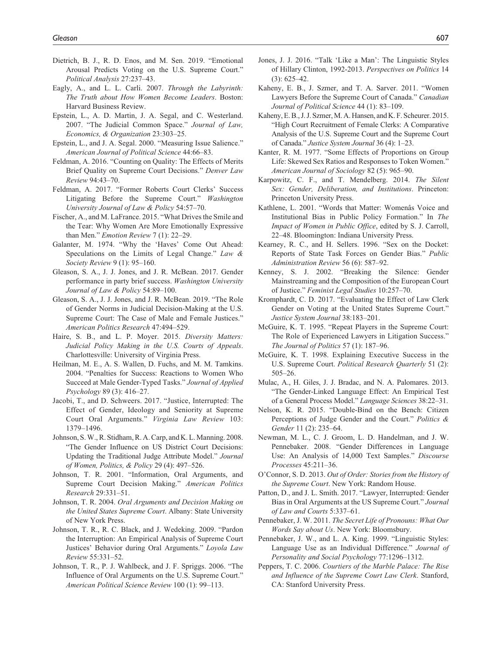- Dietrich, B. J., R. D. Enos, and M. Sen. 2019. "Emotional Arousal Predicts Voting on the U.S. Supreme Court." *Political Analysis* 27:237–43.
- Eagly, A., and L. L. Carli. 2007. *Through the Labyrinth: The Truth about How Women Become Leaders*. Boston: Harvard Business Review.
- Epstein, L., A. D. Martin, J. A. Segal, and C. Westerland. 2007. "The Judicial Common Space." *Journal of Law, Economics, & Organization* 23:303–25.
- Epstein, L., and J. A. Segal. 2000. "Measuring Issue Salience." *American Journal of Political Science* 44:66–83.
- Feldman, A. 2016. "Counting on Quality: The Effects of Merits Brief Quality on Supreme Court Decisions." *Denver Law Review* 94:43–70.
- Feldman, A. 2017. "Former Roberts Court Clerks' Success Litigating Before the Supreme Court." *Washington University Journal of Law & Policy* 54:57–70.
- Fischer, A., and M. LaFrance. 2015. "What Drives the Smile and the Tear: Why Women Are More Emotionally Expressive than Men." *Emotion Review* 7 (1): 22–29.
- Galanter, M. 1974. "Why the 'Haves' Come Out Ahead: Speculations on the Limits of Legal Change." *Law & Society Review* 9 (1): 95–160.
- Gleason, S. A., J. J. Jones, and J. R. McBean. 2017. Gender performance in party brief success. *Washington University Journal of Law & Policy* 54:89–100.
- Gleason, S. A., J. J. Jones, and J. R. McBean. 2019. "The Role of Gender Norms in Judicial Decision-Making at the U.S. Supreme Court: The Case of Male and Female Justices." *American Politics Research* 47:494–529.
- Haire, S. B., and L. P. Moyer. 2015. *Diversity Matters: Judicial Policy Making in the U.S. Courts of Appeals*. Charlottesville: University of Virginia Press.
- Heilman, M. E., A. S. Wallen, D. Fuchs, and M. M. Tamkins. 2004. "Penalties for Success: Reactions to Women Who Succeed at Male Gender-Typed Tasks." *Journal of Applied Psychology* 89 (3): 416–27.
- Jacobi, T., and D. Schweers. 2017. "Justice, Interrupted: The Effect of Gender, Ideology and Seniority at Supreme Court Oral Arguments." *Virginia Law Review* 103: 1379–1496.
- Johnson, S. W., R. Stidham, R. A. Carp, and K. L. Manning. 2008. "The Gender Influence on US District Court Decisions: Updating the Traditional Judge Attribute Model." *Journal of Women, Politics, & Policy* 29 (4): 497–526.
- Johnson, T. R. 2001. "Information, Oral Arguments, and Supreme Court Decision Making." *American Politics Research* 29:331–51.
- Johnson, T. R. 2004. *Oral Arguments and Decision Making on the United States Supreme Court*. Albany: State University of New York Press.
- Johnson, T. R., R. C. Black, and J. Wedeking. 2009. "Pardon the Interruption: An Empirical Analysis of Supreme Court Justices' Behavior during Oral Arguments." *Loyola Law Review* 55:331–52.
- Johnson, T. R., P. J. Wahlbeck, and J. F. Spriggs. 2006. "The Influence of Oral Arguments on the U.S. Supreme Court." *American Political Science Review* 100 (1): 99–113.
- Jones, J. J. 2016. "Talk 'Like a Man': The Linguistic Styles of Hillary Clinton, 1992-2013. *Perspectives on Politics* 14 (3): 625–42.
- Kaheny, E. B., J. Szmer, and T. A. Sarver. 2011. "Women Lawyers Before the Supreme Court of Canada." *Canadian Journal of Political Science* 44 (1): 83–109.
- Kaheny, E. B., J. J. Szmer, M. A. Hansen, and K. F. Scheurer. 2015. "High Court Recruitment of Female Clerks: A Comparative Analysis of the U.S. Supreme Court and the Supreme Court of Canada." *Justice System Journal* 36 (4): 1–23.
- Kanter, R. M. 1977. "Some Effects of Proportions on Group Life: Skewed Sex Ratios and Responses to Token Women." *American Journal of Sociology* 82 (5): 965–90.
- Karpowitz, C. F., and T. Mendelberg. 2014. *The Silent Sex: Gender, Deliberation, and Institutions*. Princeton: Princeton University Press.
- Kathlene, L. 2001. "Words that Matter: Womenâs Voice and Institutional Bias in Public Policy Formation." In *The Impact of Women in Public Office*, edited by S. J. Carroll, 22–48. Bloomington: Indiana University Press.
- Kearney, R. C., and H. Sellers. 1996. "Sex on the Docket: Reports of State Task Forces on Gender Bias." *Public Administration Review* 56 (6): 587–92.
- Kenney, S. J. 2002. "Breaking the Silence: Gender Mainstreaming and the Composition of the European Court of Justice." *Feminist Legal Studies* 10:257–70.
- Kromphardt, C. D. 2017. "Evaluating the Effect of Law Clerk Gender on Voting at the United States Supreme Court." *Justice System Journal* 38:183–201.
- McGuire, K. T. 1995. "Repeat Players in the Supreme Court: The Role of Experienced Lawyers in Litigation Success." *The Journal of Politics* 57 (1): 187–96.
- McGuire, K. T. 1998. Explaining Executive Success in the U.S. Supreme Court. *Political Research Quarterly* 51 (2): 505–26.
- Mulac, A., H. Giles, J. J. Bradac, and N. A. Palomares. 2013. "The Gender-Linked Language Effect: An Empirical Test of a General Process Model." *Language Sciences* 38:22–31.
- Nelson, K. R. 2015. "Double-Bind on the Bench: Citizen Perceptions of Judge Gender and the Court." *Politics & Gender* 11 (2): 235–64.
- Newman, M. L., C. J. Groom, L. D. Handelman, and J. W. Pennebaker. 2008. "Gender Differences in Language Use: An Analysis of 14,000 Text Samples." *Discourse Processes* 45:211–36.
- O'Connor, S. D. 2013. *Out of Order: Stories from the History of the Supreme Court*. New York: Random House.
- Patton, D., and J. L. Smith. 2017. "Lawyer, Interrupted: Gender Bias in Oral Arguments at the US Supreme Court." *Journal of Law and Courts* 5:337–61.
- Pennebaker, J. W. 2011. *The Secret Life of Pronouns: What Our Words Say about Us*. New York: Bloomsbury.
- Pennebaker, J. W., and L. A. King. 1999. "Linguistic Styles: Language Use as an Individual Difference." *Journal of Personality and Social Psychology* 77:1296–1312.
- Peppers, T. C. 2006. *Courtiers of the Marble Palace: The Rise and Influence of the Supreme Court Law Clerk*. Stanford, CA: Stanford University Press.